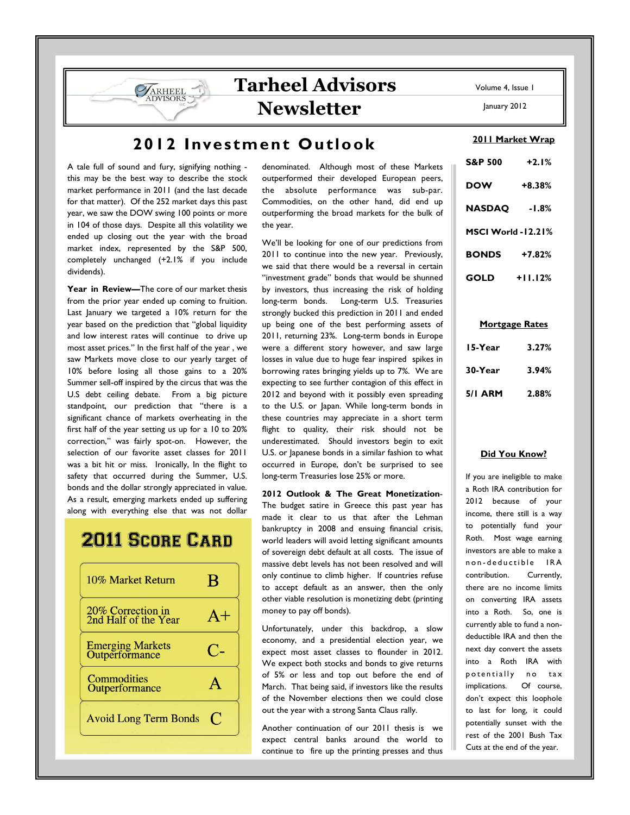## Tarheel Advisors Newsletter

A tale full of sound and fury, signifying nothing this may be the best way to describe the stock market performance in 2011 (and the last decade for that matter). Of the 252 market days this past year, we saw the DOW swing 100 points or more in 104 of those days. Despite all this volatility we ended up closing out the year with the broad market index, represented by the S&P 500, completely unchanged (+2.1% if you include dividends).

**ARHEEL** 

Year in Review-The core of our market thesis from the prior year ended up coming to fruition. Last January we targeted a 10% return for the year based on the prediction that "global liquidity and low interest rates will continue to drive up most asset prices." In the first half of the year , we saw Markets move close to our yearly target of 10% before losing all those gains to a 20% Summer sell-off inspired by the circus that was the U.S debt ceiling debate. From a big picture standpoint, our prediction that "there is a significant chance of markets overheating in the first half of the year setting us up for a 10 to 20% correction," was fairly spot-on. However, the selection of our favorite asset classes for 2011 was a bit hit or miss. Ironically, In the flight to safety that occurred during the Summer, U.S. bonds and the dollar strongly appreciated in value. As a result, emerging markets ended up suffering along with everything else that was not dollar

# **2011 SCORE CARD**



denominated. Although most of these Markets outperformed their developed European peers, the absolute performance was sub-par. Commodities, on the other hand, did end up outperforming the broad markets for the bulk of the year.

We'll be looking for one of our predictions from 2011 to continue into the new year. Previously, we said that there would be a reversal in certain "investment grade" bonds that would be shunned by investors, thus increasing the risk of holding long-term bonds. Long-term U.S. Treasuries strongly bucked this prediction in 2011 and ended up being one of the best performing assets of 2011, returning 23%. Long-term bonds in Europe were a different story however, and saw large losses in value due to huge fear inspired spikes in borrowing rates bringing yields up to 7%. We are expecting to see further contagion of this effect in 2012 and beyond with it possibly even spreading to the U.S. or Japan. While long-term bonds in these countries may appreciate in a short term flight to quality, their risk should not be underestimated. Should investors begin to exit U.S. or Japanese bonds in a similar fashion to what occurred in Europe, don't be surprised to see long-term Treasuries lose 25% or more.

2012 Outlook & The Great Monetization-The budget satire in Greece this past year has made it clear to us that after the Lehman bankruptcy in 2008 and ensuing financial crisis, world leaders will avoid letting significant amounts of sovereign debt default at all costs. The issue of massive debt levels has not been resolved and will only continue to climb higher. If countries refuse to accept default as an answer, then the only other viable resolution is monetizing debt (printing money to pay off bonds).

Unfortunately, under this backdrop, a slow economy, and a presidential election year, we expect most asset classes to flounder in 2012. We expect both stocks and bonds to give returns of 5% or less and top out before the end of March. That being said, if investors like the results of the November elections then we could close out the year with a strong Santa Claus rally.

Another continuation of our 2011 thesis is we expect central banks around the world to continue to fire up the printing presses and thus Volume 4, Issue 1

January 2012

#### 2011 Market Wrap

| S&P 500            | $+2.1%$   |  |
|--------------------|-----------|--|
| DOW                | $+8.38%$  |  |
| <b>NASDAQ</b>      | -1.8%     |  |
| MSCI World -12.21% |           |  |
| <b>BONDS</b>       | $+7.82%$  |  |
| GOLD               | $+11.12%$ |  |

#### Mortgage Rates

| 15-Year | 3.27% |
|---------|-------|
| 30-Year | 3.94% |
| 5/I ARM | 2.88% |

#### Did You Know?

If you are ineligible to make a Roth IRA contribution for 2012 because of your income, there still is a way to potentially fund your Roth. Most wage earning investors are able to make a n on - de ductible IRA contribution. Currently, there are no income limits on converting IRA assets into a Roth. So, one is currently able to fund a nondeductible IRA and then the next day convert the assets into a Roth IRA with potentially no tax implications. Of course, don't expect this loophole to last for long, it could potentially sunset with the rest of the 2001 Bush Tax Cuts at the end of the year.